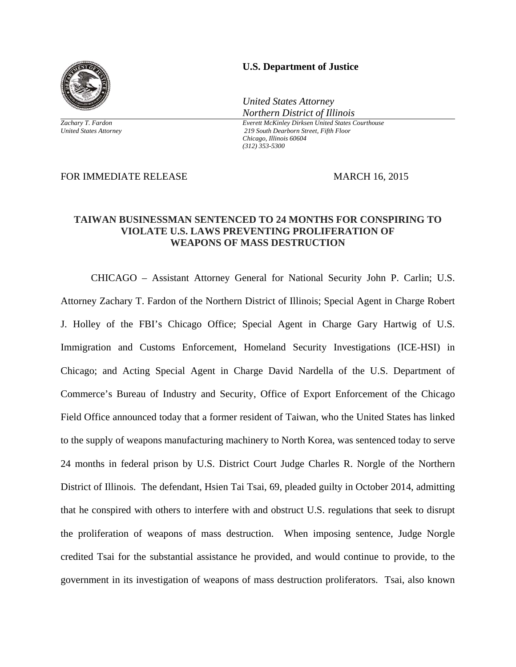

*Zachary T. Fardon United States Attorney* 

## **U.S. Department of Justice**

*United States Attorney Northern District of Illinois*

*Everett McKinley Dirksen United States Courthouse 219 South Dearborn Street, Fifth Floor Chicago, Illinois 60604 (312) 353-5300* 

FOR IMMEDIATE RELEASE MARCH 16, 2015

## **TAIWAN BUSINESSMAN SENTENCED TO 24 MONTHS FOR CONSPIRING TO VIOLATE U.S. LAWS PREVENTING PROLIFERATION OF WEAPONS OF MASS DESTRUCTION**

CHICAGO – Assistant Attorney General for National Security John P. Carlin; U.S. Attorney Zachary T. Fardon of the Northern District of Illinois; Special Agent in Charge Robert J. Holley of the FBI's Chicago Office; Special Agent in Charge Gary Hartwig of U.S. Immigration and Customs Enforcement, Homeland Security Investigations (ICE-HSI) in Chicago; and Acting Special Agent in Charge David Nardella of the U.S. Department of Commerce's Bureau of Industry and Security, Office of Export Enforcement of the Chicago Field Office announced today that a former resident of Taiwan, who the United States has linked to the supply of weapons manufacturing machinery to North Korea, was sentenced today to serve 24 months in federal prison by U.S. District Court Judge Charles R. Norgle of the Northern District of Illinois. The defendant, Hsien Tai Tsai, 69, pleaded guilty in October 2014, admitting that he conspired with others to interfere with and obstruct U.S. regulations that seek to disrupt the proliferation of weapons of mass destruction. When imposing sentence, Judge Norgle credited Tsai for the substantial assistance he provided, and would continue to provide, to the government in its investigation of weapons of mass destruction proliferators. Tsai, also known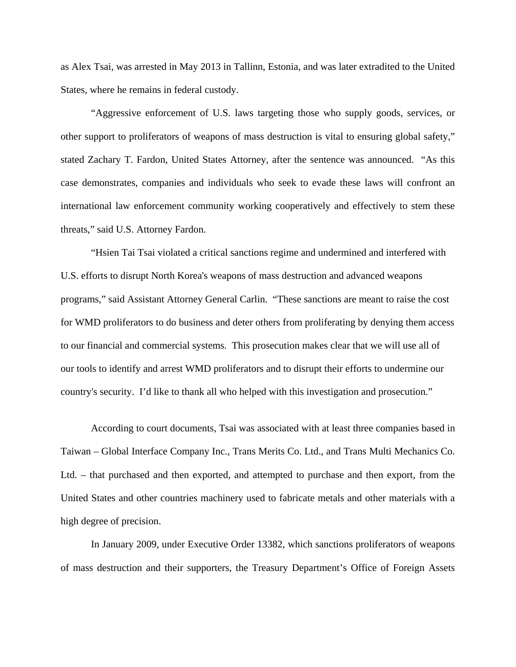as Alex Tsai, was arrested in May 2013 in Tallinn, Estonia, and was later extradited to the United States, where he remains in federal custody.

"Aggressive enforcement of U.S. laws targeting those who supply goods, services, or other support to proliferators of weapons of mass destruction is vital to ensuring global safety," stated Zachary T. Fardon, United States Attorney, after the sentence was announced. "As this case demonstrates, companies and individuals who seek to evade these laws will confront an international law enforcement community working cooperatively and effectively to stem these threats," said U.S. Attorney Fardon.

"Hsien Tai Tsai violated a critical sanctions regime and undermined and interfered with U.S. efforts to disrupt North Korea's weapons of mass destruction and advanced weapons programs," said Assistant Attorney General Carlin. "These sanctions are meant to raise the cost for WMD proliferators to do business and deter others from proliferating by denying them access to our financial and commercial systems. This prosecution makes clear that we will use all of our tools to identify and arrest WMD proliferators and to disrupt their efforts to undermine our country's security. I'd like to thank all who helped with this investigation and prosecution."

According to court documents, Tsai was associated with at least three companies based in Taiwan – Global Interface Company Inc., Trans Merits Co. Ltd., and Trans Multi Mechanics Co. Ltd. – that purchased and then exported, and attempted to purchase and then export, from the United States and other countries machinery used to fabricate metals and other materials with a high degree of precision.

In January 2009, under Executive Order 13382, which sanctions proliferators of weapons of mass destruction and their supporters, the Treasury Department's Office of Foreign Assets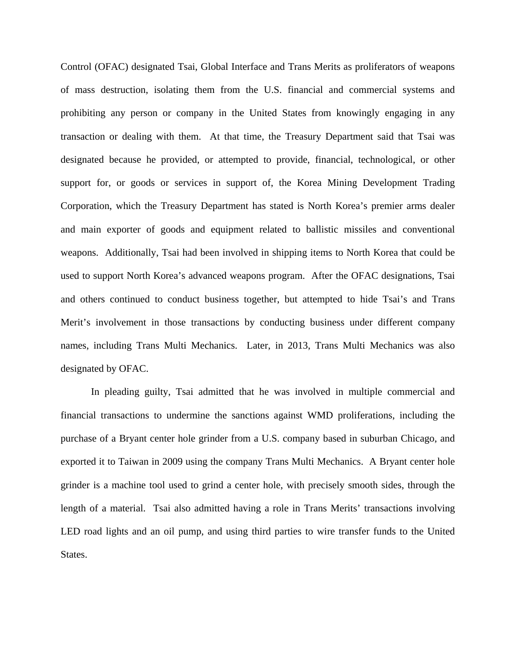Control (OFAC) designated Tsai, Global Interface and Trans Merits as proliferators of weapons of mass destruction, isolating them from the U.S. financial and commercial systems and prohibiting any person or company in the United States from knowingly engaging in any transaction or dealing with them. At that time, the Treasury Department said that Tsai was designated because he provided, or attempted to provide, financial, technological, or other support for, or goods or services in support of, the Korea Mining Development Trading Corporation, which the Treasury Department has stated is North Korea's premier arms dealer and main exporter of goods and equipment related to ballistic missiles and conventional weapons. Additionally, Tsai had been involved in shipping items to North Korea that could be used to support North Korea's advanced weapons program. After the OFAC designations, Tsai and others continued to conduct business together, but attempted to hide Tsai's and Trans Merit's involvement in those transactions by conducting business under different company names, including Trans Multi Mechanics. Later, in 2013, Trans Multi Mechanics was also designated by OFAC.

In pleading guilty, Tsai admitted that he was involved in multiple commercial and financial transactions to undermine the sanctions against WMD proliferations, including the purchase of a Bryant center hole grinder from a U.S. company based in suburban Chicago, and exported it to Taiwan in 2009 using the company Trans Multi Mechanics. A Bryant center hole grinder is a machine tool used to grind a center hole, with precisely smooth sides, through the length of a material. Tsai also admitted having a role in Trans Merits' transactions involving LED road lights and an oil pump, and using third parties to wire transfer funds to the United States.